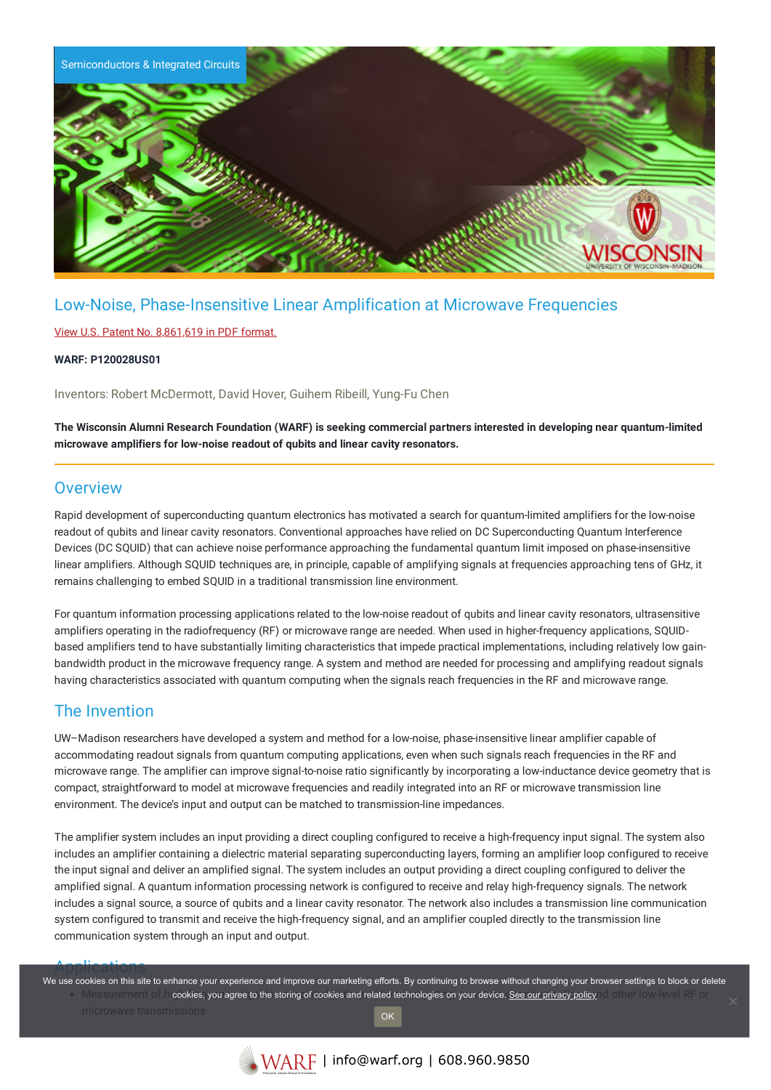

# Low-Noise, Phase-Insensitive Linear Amplification at Microwave Frequencies

#### View U.S. Patent No. [8,861,619](https://www.warf.org/wp-content/uploads/technologies/ipstatus/P120028US01.PDF) in PDF format.

#### **WARF: P120028US01**

Inventors: Robert McDermott, David Hover, Guihem Ribeill, Yung-Fu Chen

The Wisconsin Alumni Research Foundation (WARF) is seeking commercial partners interested in developing near quantum-limited **microwave amplifiers for low-noise readout of qubits and linear cavity resonators.**

### **Overview**

Rapid development of superconducting quantum electronics has motivated a search for quantum-limited amplifiers for the low-noise readout of qubits and linear cavity resonators. Conventional approaches have relied on DC Superconducting Quantum Interference Devices (DC SQUID) that can achieve noise performance approaching the fundamental quantum limit imposed on phase-insensitive linear amplifiers. Although SQUID techniques are, in principle, capable of amplifying signals at frequencies approaching tens of GHz, it remains challenging to embed SQUID in a traditional transmission line environment.

For quantum information processing applications related to the low-noise readout of qubits and linear cavity resonators, ultrasensitive amplifiers operating in the radiofrequency (RF) or microwave range are needed. When used in higher-frequency applications, SQUIDbased amplifiers tend to have substantially limiting characteristics that impede practical implementations, including relatively low gainbandwidth product in the microwave frequency range. A system and method are needed for processing and amplifying readout signals having characteristics associated with quantum computing when the signals reach frequencies in the RF and microwave range.

## The Invention

UW–Madison researchers have developed a system and method for a low-noise, phase-insensitive linear amplifier capable of accommodating readout signals from quantum computing applications, even when such signals reach frequencies in the RF and microwave range. The amplifier can improve signal-to-noise ratio significantly by incorporating a low-inductance device geometry that is compact, straightforward to model at microwave frequencies and readily integrated into an RF or microwave transmission line environment. The device's input and output can be matched to transmission-line impedances.

The amplifier system includes an input providing a direct coupling configured to receive a high-frequency input signal. The system also includes an amplifier containing a dielectric material separating superconducting layers, forming an amplifier loop configured to receive the input signal and deliver an amplified signal. The system includes an output providing a direct coupling configured to deliver the amplified signal. A quantum information processing network is configured to receive and relay high-frequency signals. The network includes a signal source, a source of qubits and a linear cavity resonator. The network also includes a transmission line communication system configured to transmit and receive the high-frequency signal, and an amplifier coupled directly to the transmission line communication system through an input and output.

Applications of the endeaver of the endeaver one marketing efforts. By continuing to browse without changing your browser settings to block or delete<br>We use cookies on this site to enhance your experience and improve our m Measurement of **cookies, you agree to the storing of cookies and related technologies on your device. See our privacy policy of the flow-level RF or** OK